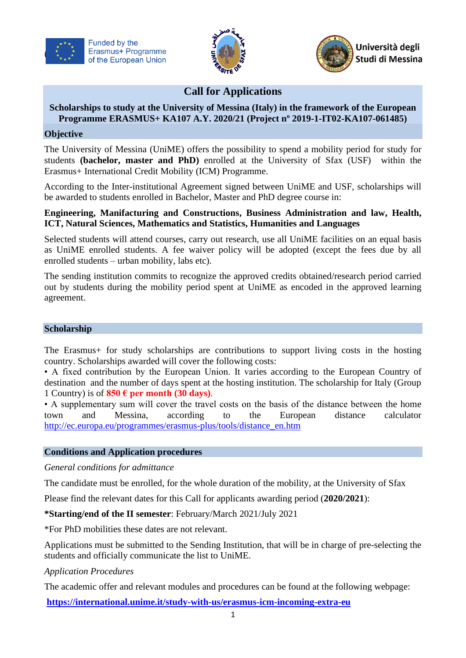





# **Call for Applications**

### **Scholarships to study at the University of Messina (Italy) in the framework of the European Programme ERASMUS+ KA107 A.Y. 2020/21 (Project nº 2019-1-IT02-KA107-061485)**

### **Objective**

The University of Messina (UniME) offers the possibility to spend a mobility period for study for students **(bachelor, master and PhD)** enrolled at the University of Sfax (USF) within the Erasmus+ International Credit Mobility (ICM) Programme.

According to the Inter-institutional Agreement signed between UniME and USF, scholarships will be awarded to students enrolled in Bachelor, Master and PhD degree course in:

### **Engineering, Manifacturing and Constructions, Business Administration and law, Health, ICT, Natural Sciences, Mathematics and Statistics, Humanities and Languages**

Selected students will attend courses, carry out research, use all UniME facilities on an equal basis as UniME enrolled students. A fee waiver policy will be adopted (except the fees due by all enrolled students – urban mobility, labs etc).

The sending institution commits to recognize the approved credits obtained/research period carried out by students during the mobility period spent at UniME as encoded in the approved learning agreement.

#### **Scholarship**

The Erasmus+ for study scholarships are contributions to support living costs in the hosting country. Scholarships awarded will cover the following costs:

• A fixed contribution by the European Union. It varies according to the European Country of destination and the number of days spent at the hosting institution. The scholarship for Italy (Group 1 Country) is of  $850 \text{ }\mathbf{e}$  per month (30 days).

• A supplementary sum will cover the travel costs on the basis of the distance between the home town and Messina, according to the European distance calculator [http://ec.europa.eu/programmes/erasmus-plus/tools/distance\\_en.htm](http://ec.europa.eu/programmes/erasmus-plus/tools/distance_en.htm)

### **Conditions and Application procedures**

*General conditions for admittance*

The candidate must be enrolled, for the whole duration of the mobility, at the University of Sfax

Please find the relevant dates for this Call for applicants awarding period (**2020/2021**):

**\*Starting/end of the II semester**: February/March 2021/July 2021

\*For PhD mobilities these dates are not relevant.

Applications must be submitted to the Sending Institution, that will be in charge of pre-selecting the students and officially communicate the list to UniME.

### *Application Procedures*

The academic offer and relevant modules and procedures can be found at the following webpage:

**<https://international.unime.it/study-with-us/erasmus-icm-incoming-extra-eu>**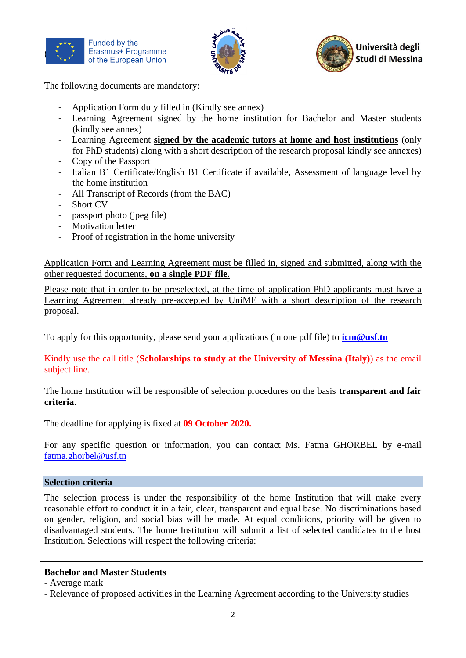





The following documents are mandatory:

- Application Form duly filled in (Kindly see annex)
- Learning Agreement signed by the home institution for Bachelor and Master students (kindly see annex)
- Learning Agreement **signed by the academic tutors at home and host institutions** (only for PhD students) along with a short description of the research proposal kindly see annexes)
- Copy of the Passport
- Italian B1 Certificate/English B1 Certificate if available, Assessment of language level by the home institution
- All Transcript of Records (from the BAC)
- Short CV
- passport photo (jpeg file)
- Motivation letter
- Proof of registration in the home university

Application Form and Learning Agreement must be filled in, signed and submitted, along with the other requested documents, **on a single PDF file**.

Please note that in order to be preselected, at the time of application PhD applicants must have a Learning Agreement already pre-accepted by UniME with a short description of the research proposal.

To apply for this opportunity, please send your applications (in one pdf file) to **[icm@usf.tn](mailto:icm@usf.tn)**

Kindly use the call title (**Scholarships to study at the University of Messina (Italy)**) as the email subject line.

The home Institution will be responsible of selection procedures on the basis **transparent and fair criteria**.

The deadline for applying is fixed at **09 October 2020.**

For any specific question or information, you can contact Ms. Fatma GHORBEL by e-mail [fatma.ghorbel@usf.tn](mailto:fatma.ghorbel@usf.tn)

# **Selection criteria**

The selection process is under the responsibility of the home Institution that will make every reasonable effort to conduct it in a fair, clear, transparent and equal base. No discriminations based on gender, religion, and social bias will be made. At equal conditions, priority will be given to disadvantaged students. The home Institution will submit a list of selected candidates to the host Institution. Selections will respect the following criteria:

# **Bachelor and Master Students**

- Relevance of proposed activities in the Learning Agreement according to the University studies

<sup>-</sup> Average mark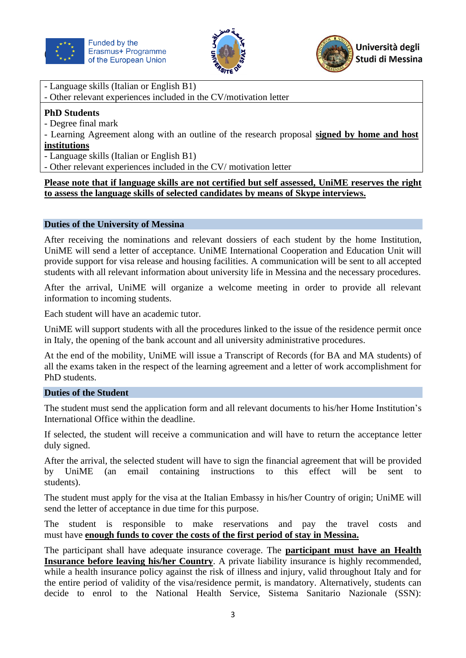





- Language skills (Italian or English B1)
- Other relevant experiences included in the CV/motivation letter

# **PhD Students**

- Degree final mark
- Learning Agreement along with an outline of the research proposal **signed by home and host institutions**
- Language skills (Italian or English B1)
- Other relevant experiences included in the CV/ motivation letter

### **Please note that if language skills are not certified but self assessed, UniME reserves the right to assess the language skills of selected candidates by means of Skype interviews.**

### **Duties of the University of Messina**

After receiving the nominations and relevant dossiers of each student by the home Institution, UniME will send a letter of acceptance. UniME International Cooperation and Education Unit will provide support for visa release and housing facilities. A communication will be sent to all accepted students with all relevant information about university life in Messina and the necessary procedures.

After the arrival, UniME will organize a welcome meeting in order to provide all relevant information to incoming students.

Each student will have an academic tutor.

UniME will support students with all the procedures linked to the issue of the residence permit once in Italy, the opening of the bank account and all university administrative procedures.

At the end of the mobility, UniME will issue a Transcript of Records (for BA and MA students) of all the exams taken in the respect of the learning agreement and a letter of work accomplishment for PhD students.

### **Duties of the Student**

The student must send the application form and all relevant documents to his/her Home Institution's International Office within the deadline.

If selected, the student will receive a communication and will have to return the acceptance letter duly signed.

After the arrival, the selected student will have to sign the financial agreement that will be provided by UniME (an email containing instructions to this effect will be sent to students).

The student must apply for the visa at the Italian Embassy in his/her Country of origin; UniME will send the letter of acceptance in due time for this purpose.

The student is responsible to make reservations and pay the travel costs and must have **enough funds to cover the costs of the first period of stay in Messina.**

The participant shall have adequate insurance coverage. The **participant must have an Health Insurance before leaving his/her Country**. A private liability insurance is highly recommended, while a health insurance policy against the risk of illness and injury, valid throughout Italy and for the entire period of validity of the visa/residence permit, is mandatory. Alternatively, students can decide to enrol to the National Health Service, Sistema Sanitario Nazionale (SSN):